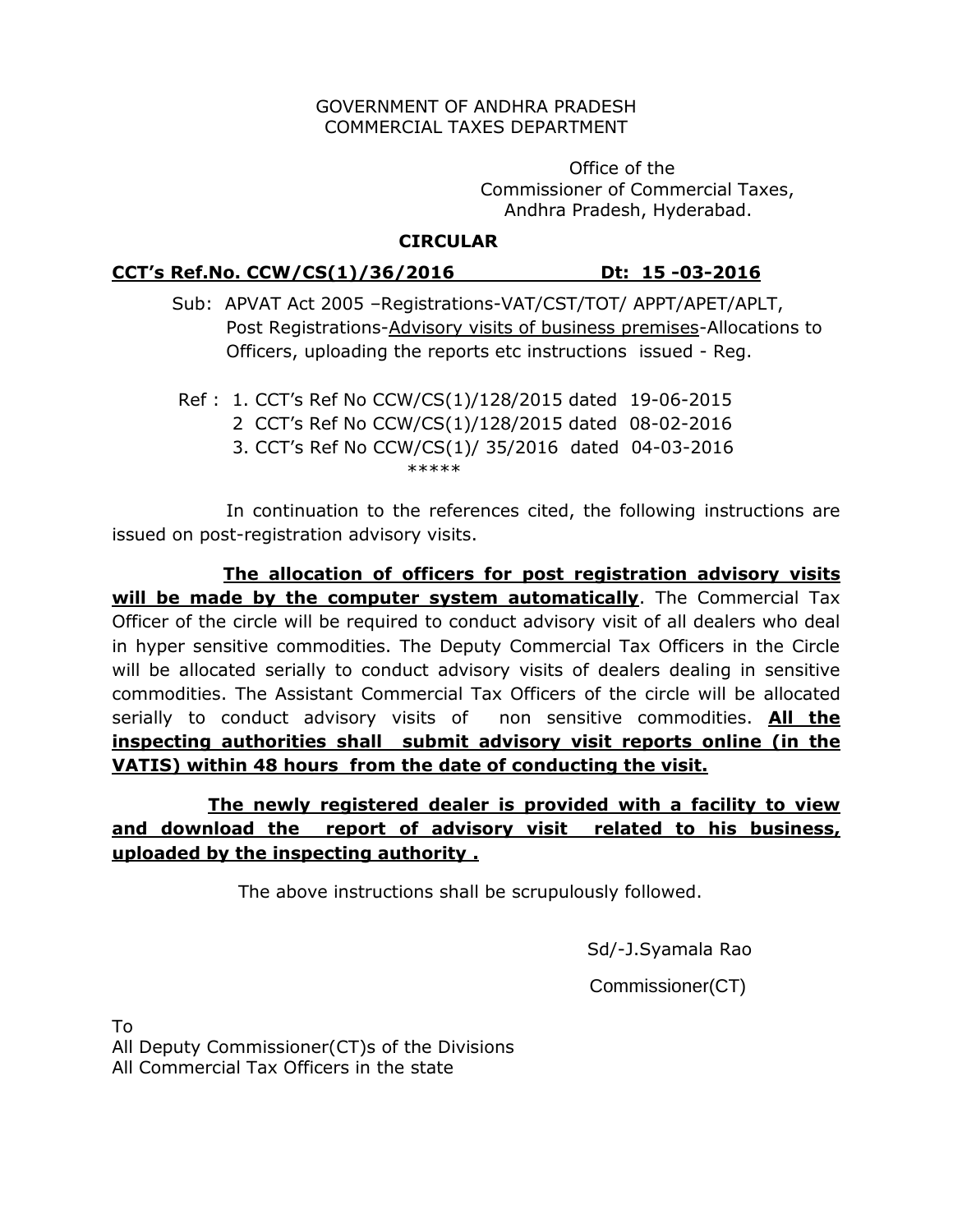#### GOVERNMENT OF ANDHRA PRADESH COMMERCIAL TAXES DEPARTMENT

 Office of the Commissioner of Commercial Taxes, Andhra Pradesh, Hyderabad.

## **CIRCULAR**

### **CCT's Ref.No. CCW/CS(1)/36/2016 Dt: 15 -03-2016**

 Sub: APVAT Act 2005 –Registrations-VAT/CST/TOT/ APPT/APET/APLT, Post Registrations-Advisory visits of business premises-Allocations to Officers, uploading the reports etc instructions issued - Reg.

Ref : 1. CCT's Ref No CCW/CS(1)/128/2015 dated 19-06-2015

- 2 CCT's Ref No CCW/CS(1)/128/2015 dated 08-02-2016
- 3. CCT's Ref No CCW/CS(1)/ 35/2016 dated 04-03-2016 \*\*\*\*\*\*

 In continuation to the references cited, the following instructions are issued on post-registration advisory visits.

 **The allocation of officers for post registration advisory visits will be made by the computer system automatically**. The Commercial Tax Officer of the circle will be required to conduct advisory visit of all dealers who deal in hyper sensitive commodities. The Deputy Commercial Tax Officers in the Circle will be allocated serially to conduct advisory visits of dealers dealing in sensitive commodities. The Assistant Commercial Tax Officers of the circle will be allocated serially to conduct advisory visits of non sensitive commodities. **All the inspecting authorities shall submit advisory visit reports online (in the VATIS) within 48 hours from the date of conducting the visit.**

# **The newly registered dealer is provided with a facility to view and download the report of advisory visit related to his business, uploaded by the inspecting authority .**

The above instructions shall be scrupulously followed.

Sd/-J.Syamala Rao

Commissioner(CT)

To

All Deputy Commissioner(CT)s of the Divisions All Commercial Tax Officers in the state